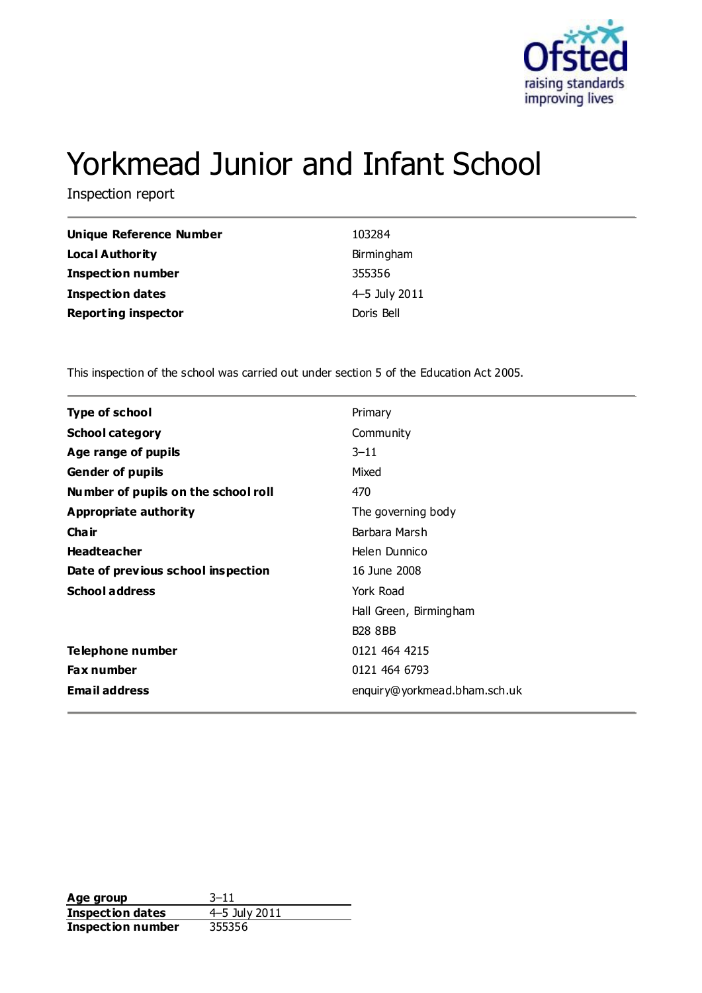

# Yorkmead Junior and Infant School

Inspection report

| <b>Unique Reference Number</b> | 103284        |
|--------------------------------|---------------|
| <b>Local Authority</b>         | Birmingham    |
| <b>Inspection number</b>       | 355356        |
| <b>Inspection dates</b>        | 4–5 July 2011 |
| <b>Reporting inspector</b>     | Doris Bell    |

This inspection of the school was carried out under section 5 of the Education Act 2005.

| <b>Type of school</b>               | Primary                      |
|-------------------------------------|------------------------------|
| <b>School category</b>              | Community                    |
| Age range of pupils                 | $3 - 11$                     |
| <b>Gender of pupils</b>             | Mixed                        |
| Number of pupils on the school roll | 470                          |
| <b>Appropriate authority</b>        | The governing body           |
| Cha ir                              | Barbara Marsh                |
| <b>Headteacher</b>                  | Helen Dunnico                |
| Date of previous school inspection  | 16 June 2008                 |
| <b>School address</b>               | York Road                    |
|                                     | Hall Green, Birmingham       |
|                                     | <b>B28 8BB</b>               |
| Telephone number                    | 0121 464 4215                |
| <b>Fax number</b>                   | 0121 464 6793                |
| <b>Email address</b>                | enquiry@yorkmead.bham.sch.uk |
|                                     |                              |

**Age group** 3-11<br> **Inspection dates** 4-5 July 2011 **Inspection dates** 4–5 July<br>**Inspection number** 355356 **Inspection number**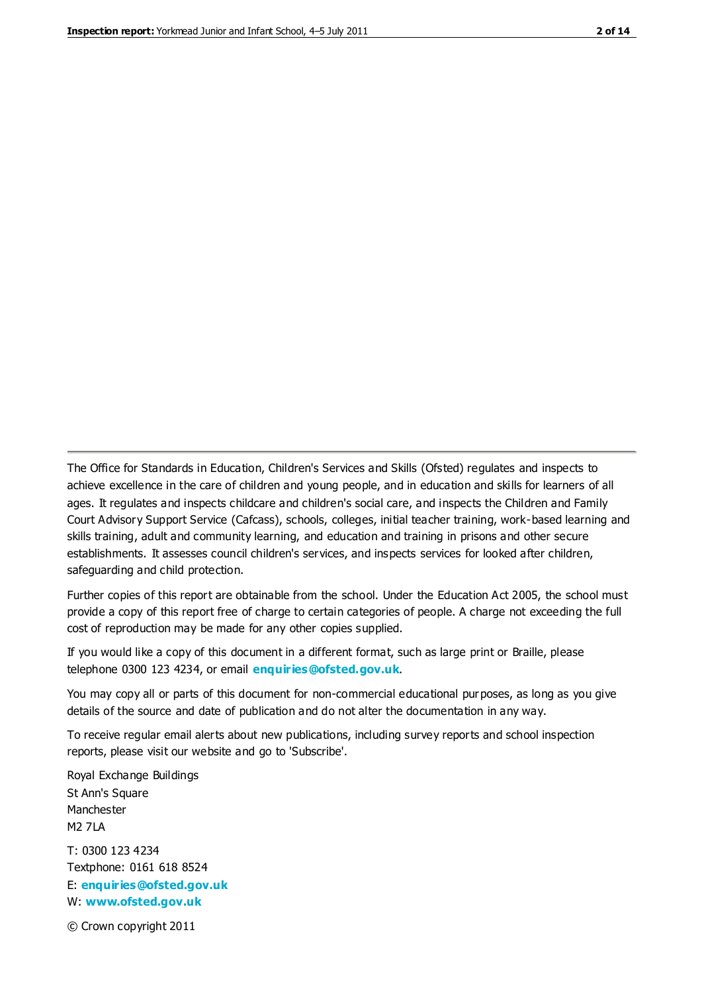The Office for Standards in Education, Children's Services and Skills (Ofsted) regulates and inspects to achieve excellence in the care of children and young people, and in education and skills for learners of all ages. It regulates and inspects childcare and children's social care, and inspects the Children and Family Court Advisory Support Service (Cafcass), schools, colleges, initial teacher training, work-based learning and skills training, adult and community learning, and education and training in prisons and other secure establishments. It assesses council children's services, and inspects services for looked after children, safeguarding and child protection.

Further copies of this report are obtainable from the school. Under the Education Act 2005, the school must provide a copy of this report free of charge to certain categories of people. A charge not exceeding the full cost of reproduction may be made for any other copies supplied.

If you would like a copy of this document in a different format, such as large print or Braille, please telephone 0300 123 4234, or email **[enquiries@ofsted.gov.uk](mailto:enquiries@ofsted.gov.uk)**.

You may copy all or parts of this document for non-commercial educational purposes, as long as you give details of the source and date of publication and do not alter the documentation in any way.

To receive regular email alerts about new publications, including survey reports and school inspection reports, please visit our website and go to 'Subscribe'.

Royal Exchange Buildings St Ann's Square Manchester M2 7LA T: 0300 123 4234 Textphone: 0161 618 8524 E: **[enquiries@ofsted.gov.uk](mailto:enquiries@ofsted.gov.uk)**

W: **[www.ofsted.gov.uk](http://www.ofsted.gov.uk/)**

© Crown copyright 2011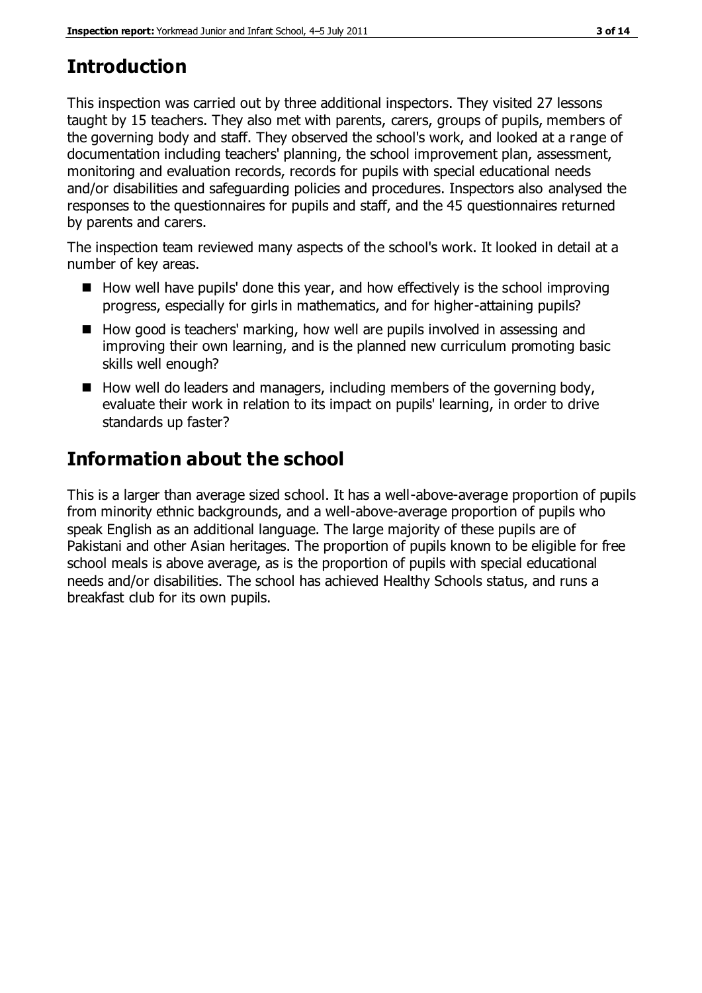## **Introduction**

This inspection was carried out by three additional inspectors. They visited 27 lessons taught by 15 teachers. They also met with parents, carers, groups of pupils, members of the governing body and staff. They observed the school's work, and looked at a range of documentation including teachers' planning, the school improvement plan, assessment, monitoring and evaluation records, records for pupils with special educational needs and/or disabilities and safeguarding policies and procedures. Inspectors also analysed the responses to the questionnaires for pupils and staff, and the 45 questionnaires returned by parents and carers.

The inspection team reviewed many aspects of the school's work. It looked in detail at a number of key areas.

- $\blacksquare$  How well have pupils' done this year, and how effectively is the school improving progress, especially for girls in mathematics, and for higher-attaining pupils?
- How good is teachers' marking, how well are pupils involved in assessing and improving their own learning, and is the planned new curriculum promoting basic skills well enough?
- $\blacksquare$  How well do leaders and managers, including members of the governing body, evaluate their work in relation to its impact on pupils' learning, in order to drive standards up faster?

## **Information about the school**

This is a larger than average sized school. It has a well-above-average proportion of pupils from minority ethnic backgrounds, and a well-above-average proportion of pupils who speak English as an additional language. The large majority of these pupils are of Pakistani and other Asian heritages. The proportion of pupils known to be eligible for free school meals is above average, as is the proportion of pupils with special educational needs and/or disabilities. The school has achieved Healthy Schools status, and runs a breakfast club for its own pupils.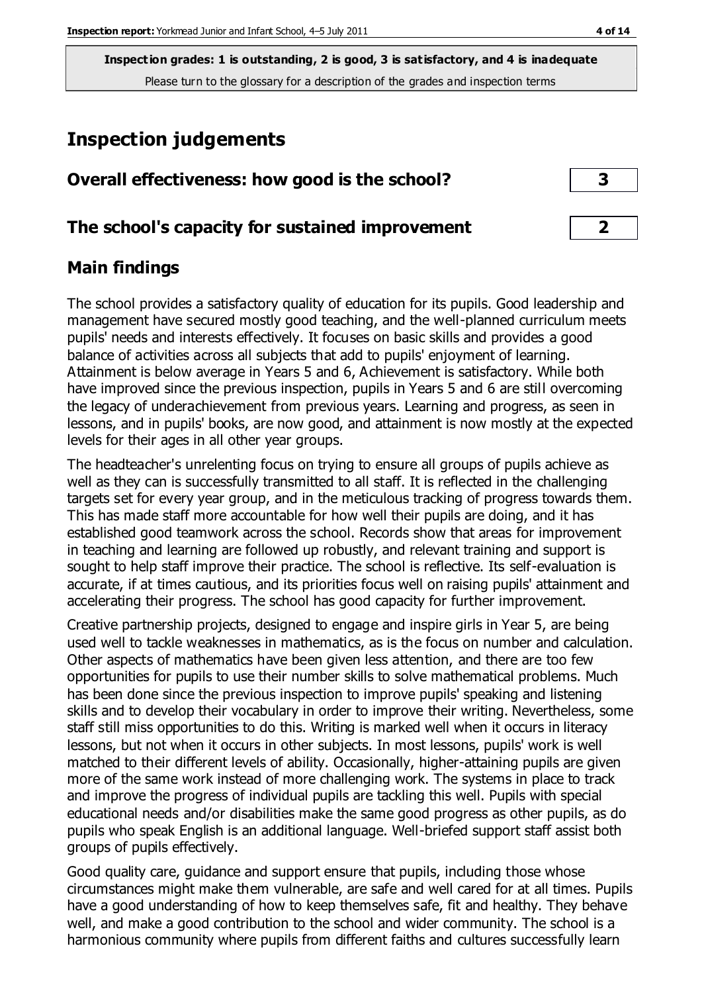## **Inspection judgements**

| Overall effectiveness: how good is the school? |  |
|------------------------------------------------|--|
|                                                |  |

#### **The school's capacity for sustained improvement 2**

## **Main findings**

The school provides a satisfactory quality of education for its pupils. Good leadership and management have secured mostly good teaching, and the well-planned curriculum meets pupils' needs and interests effectively. It focuses on basic skills and provides a good balance of activities across all subjects that add to pupils' enjoyment of learning. Attainment is below average in Years 5 and 6, Achievement is satisfactory. While both have improved since the previous inspection, pupils in Years 5 and 6 are still overcoming the legacy of underachievement from previous years. Learning and progress, as seen in lessons, and in pupils' books, are now good, and attainment is now mostly at the expected levels for their ages in all other year groups.

The headteacher's unrelenting focus on trying to ensure all groups of pupils achieve as well as they can is successfully transmitted to all staff. It is reflected in the challenging targets set for every year group, and in the meticulous tracking of progress towards them. This has made staff more accountable for how well their pupils are doing, and it has established good teamwork across the school. Records show that areas for improvement in teaching and learning are followed up robustly, and relevant training and support is sought to help staff improve their practice. The school is reflective. Its self-evaluation is accurate, if at times cautious, and its priorities focus well on raising pupils' attainment and accelerating their progress. The school has good capacity for further improvement.

Creative partnership projects, designed to engage and inspire girls in Year 5, are being used well to tackle weaknesses in mathematics, as is the focus on number and calculation. Other aspects of mathematics have been given less attention, and there are too few opportunities for pupils to use their number skills to solve mathematical problems. Much has been done since the previous inspection to improve pupils' speaking and listening skills and to develop their vocabulary in order to improve their writing. Nevertheless, some staff still miss opportunities to do this. Writing is marked well when it occurs in literacy lessons, but not when it occurs in other subjects. In most lessons, pupils' work is well matched to their different levels of ability. Occasionally, higher-attaining pupils are given more of the same work instead of more challenging work. The systems in place to track and improve the progress of individual pupils are tackling this well. Pupils with special educational needs and/or disabilities make the same good progress as other pupils, as do pupils who speak English is an additional language. Well-briefed support staff assist both groups of pupils effectively.

Good quality care, guidance and support ensure that pupils, including those whose circumstances might make them vulnerable, are safe and well cared for at all times. Pupils have a good understanding of how to keep themselves safe, fit and healthy. They behave well, and make a good contribution to the school and wider community. The school is a harmonious community where pupils from different faiths and cultures successfully learn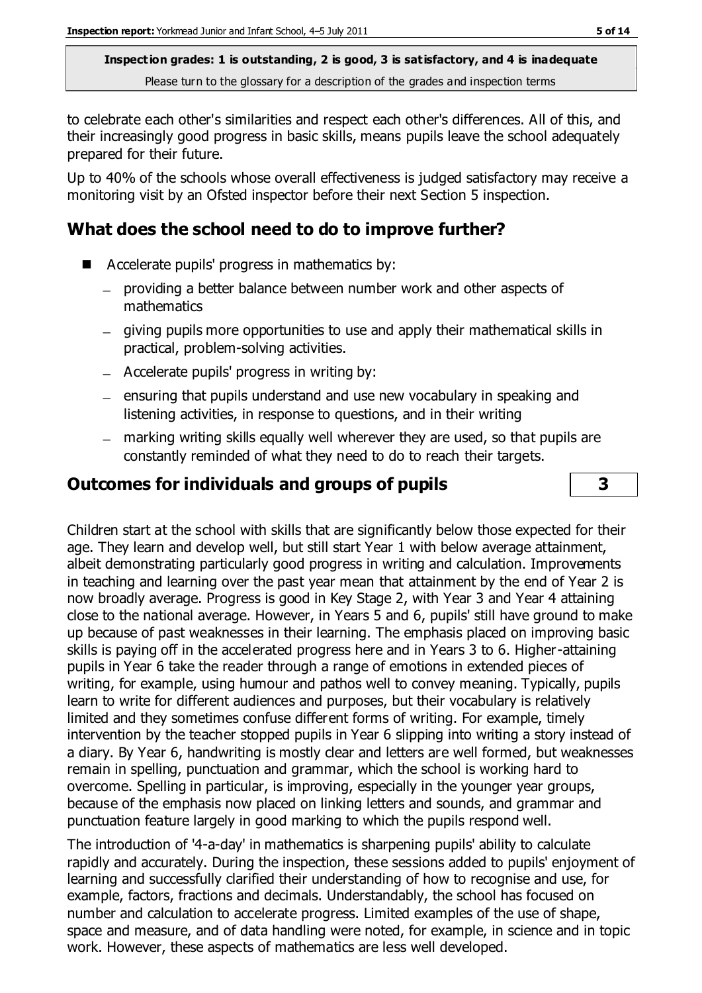to celebrate each other's similarities and respect each other's differences. All of this, and their increasingly good progress in basic skills, means pupils leave the school adequately prepared for their future.

Up to 40% of the schools whose overall effectiveness is judged satisfactory may receive a monitoring visit by an Ofsted inspector before their next Section 5 inspection.

## **What does the school need to do to improve further?**

- Accelerate pupils' progress in mathematics by:
	- providing a better balance between number work and other aspects of mathematics
	- giving pupils more opportunities to use and apply their mathematical skills in practical, problem-solving activities.
	- Accelerate pupils' progress in writing by:
	- ensuring that pupils understand and use new vocabulary in speaking and listening activities, in response to questions, and in their writing
	- marking writing skills equally well wherever they are used, so that pupils are constantly reminded of what they need to do to reach their targets.

## **Outcomes for individuals and groups of pupils 3**

Children start at the school with skills that are significantly below those expected for their age. They learn and develop well, but still start Year 1 with below average attainment, albeit demonstrating particularly good progress in writing and calculation. Improvements in teaching and learning over the past year mean that attainment by the end of Year 2 is now broadly average. Progress is good in Key Stage 2, with Year 3 and Year 4 attaining close to the national average. However, in Years 5 and 6, pupils' still have ground to make up because of past weaknesses in their learning. The emphasis placed on improving basic skills is paying off in the accelerated progress here and in Years 3 to 6. Higher-attaining pupils in Year 6 take the reader through a range of emotions in extended pieces of writing, for example, using humour and pathos well to convey meaning. Typically, pupils learn to write for different audiences and purposes, but their vocabulary is relatively limited and they sometimes confuse different forms of writing. For example, timely intervention by the teacher stopped pupils in Year 6 slipping into writing a story instead of a diary. By Year 6, handwriting is mostly clear and letters are well formed, but weaknesses remain in spelling, punctuation and grammar, which the school is working hard to overcome. Spelling in particular, is improving, especially in the younger year groups, because of the emphasis now placed on linking letters and sounds, and grammar and punctuation feature largely in good marking to which the pupils respond well.

The introduction of '4-a-day' in mathematics is sharpening pupils' ability to calculate rapidly and accurately. During the inspection, these sessions added to pupils' enjoyment of learning and successfully clarified their understanding of how to recognise and use, for example, factors, fractions and decimals. Understandably, the school has focused on number and calculation to accelerate progress. Limited examples of the use of shape, space and measure, and of data handling were noted, for example, in science and in topic work. However, these aspects of mathematics are less well developed.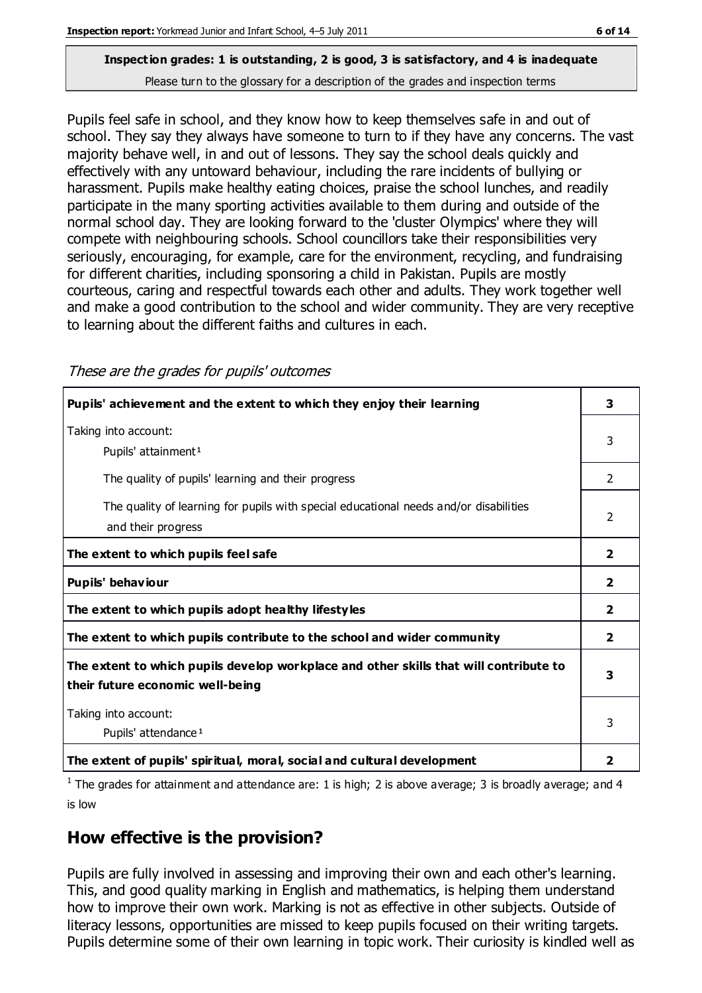## **Inspection grades: 1 is outstanding, 2 is good, 3 is satisfactory, and 4 is inadequate**

Please turn to the glossary for a description of the grades and inspection terms

Pupils feel safe in school, and they know how to keep themselves safe in and out of school. They say they always have someone to turn to if they have any concerns. The vast majority behave well, in and out of lessons. They say the school deals quickly and effectively with any untoward behaviour, including the rare incidents of bullying or harassment. Pupils make healthy eating choices, praise the school lunches, and readily participate in the many sporting activities available to them during and outside of the normal school day. They are looking forward to the 'cluster Olympics' where they will compete with neighbouring schools. School councillors take their responsibilities very seriously, encouraging, for example, care for the environment, recycling, and fundraising for different charities, including sponsoring a child in Pakistan. Pupils are mostly courteous, caring and respectful towards each other and adults. They work together well and make a good contribution to the school and wider community. They are very receptive to learning about the different faiths and cultures in each.

These are the grades for pupils' outcomes

| Pupils' achievement and the extent to which they enjoy their learning                                                     | 3              |
|---------------------------------------------------------------------------------------------------------------------------|----------------|
| Taking into account:<br>Pupils' attainment <sup>1</sup>                                                                   | 3              |
| The quality of pupils' learning and their progress                                                                        | 2              |
| The quality of learning for pupils with special educational needs and/or disabilities<br>and their progress               | 2              |
| The extent to which pupils feel safe                                                                                      | $\overline{2}$ |
| Pupils' behaviour                                                                                                         | $\mathbf{2}$   |
| The extent to which pupils adopt healthy lifestyles                                                                       | 2              |
| The extent to which pupils contribute to the school and wider community                                                   | $\overline{2}$ |
| The extent to which pupils develop workplace and other skills that will contribute to<br>their future economic well-being | 3              |
| Taking into account:<br>Pupils' attendance <sup>1</sup>                                                                   | 3              |
| The extent of pupils' spiritual, moral, social and cultural development                                                   | 2              |

<sup>1</sup> The grades for attainment and attendance are: 1 is high; 2 is above average; 3 is broadly average; and 4 is low

## **How effective is the provision?**

Pupils are fully involved in assessing and improving their own and each other's learning. This, and good quality marking in English and mathematics, is helping them understand how to improve their own work. Marking is not as effective in other subjects. Outside of literacy lessons, opportunities are missed to keep pupils focused on their writing targets. Pupils determine some of their own learning in topic work. Their curiosity is kindled well as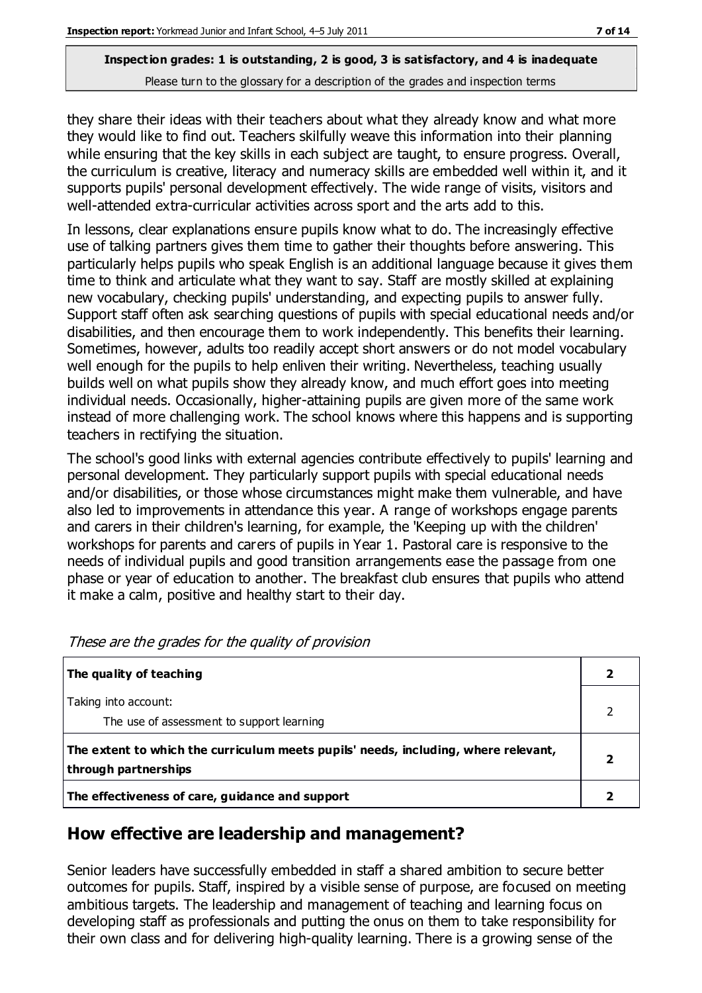they share their ideas with their teachers about what they already know and what more they would like to find out. Teachers skilfully weave this information into their planning while ensuring that the key skills in each subject are taught, to ensure progress. Overall, the curriculum is creative, literacy and numeracy skills are embedded well within it, and it supports pupils' personal development effectively. The wide range of visits, visitors and well-attended extra-curricular activities across sport and the arts add to this.

In lessons, clear explanations ensure pupils know what to do. The increasingly effective use of talking partners gives them time to gather their thoughts before answering. This particularly helps pupils who speak English is an additional language because it gives them time to think and articulate what they want to say. Staff are mostly skilled at explaining new vocabulary, checking pupils' understanding, and expecting pupils to answer fully. Support staff often ask searching questions of pupils with special educational needs and/or disabilities, and then encourage them to work independently. This benefits their learning. Sometimes, however, adults too readily accept short answers or do not model vocabulary well enough for the pupils to help enliven their writing. Nevertheless, teaching usually builds well on what pupils show they already know, and much effort goes into meeting individual needs. Occasionally, higher-attaining pupils are given more of the same work instead of more challenging work. The school knows where this happens and is supporting teachers in rectifying the situation.

The school's good links with external agencies contribute effectively to pupils' learning and personal development. They particularly support pupils with special educational needs and/or disabilities, or those whose circumstances might make them vulnerable, and have also led to improvements in attendance this year. A range of workshops engage parents and carers in their children's learning, for example, the 'Keeping up with the children' workshops for parents and carers of pupils in Year 1. Pastoral care is responsive to the needs of individual pupils and good transition arrangements ease the passage from one phase or year of education to another. The breakfast club ensures that pupils who attend it make a calm, positive and healthy start to their day.

| The quality of teaching                                                                                    |   |
|------------------------------------------------------------------------------------------------------------|---|
| Taking into account:<br>The use of assessment to support learning                                          |   |
| The extent to which the curriculum meets pupils' needs, including, where relevant,<br>through partnerships | 2 |
| The effectiveness of care, guidance and support                                                            |   |

These are the grades for the quality of provision

## **How effective are leadership and management?**

Senior leaders have successfully embedded in staff a shared ambition to secure better outcomes for pupils. Staff, inspired by a visible sense of purpose, are focused on meeting ambitious targets. The leadership and management of teaching and learning focus on developing staff as professionals and putting the onus on them to take responsibility for their own class and for delivering high-quality learning. There is a growing sense of the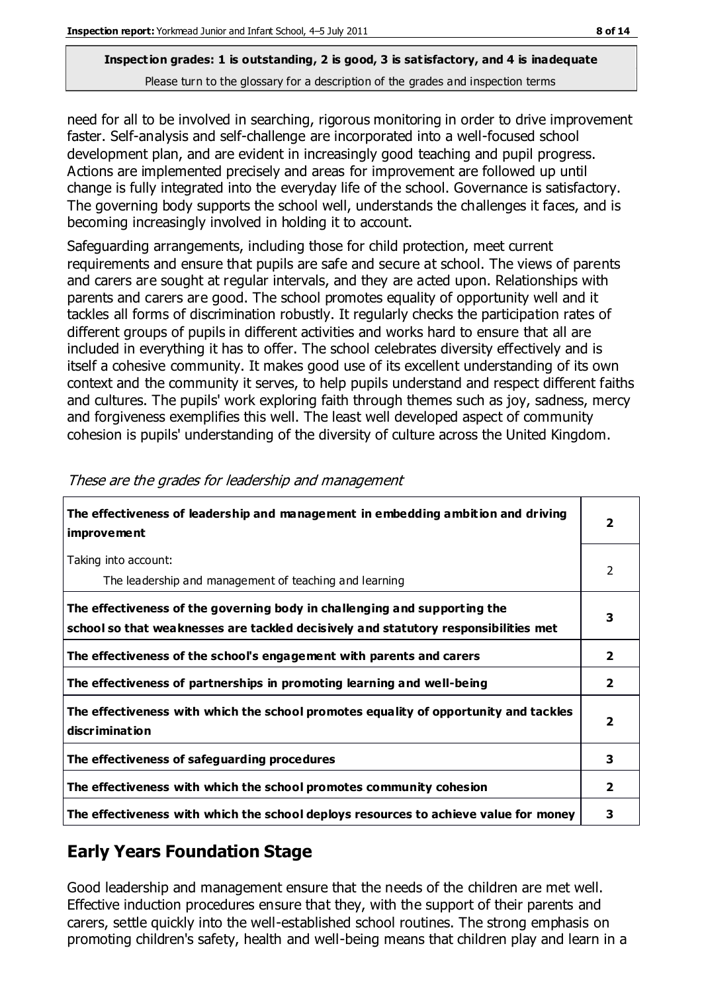need for all to be involved in searching, rigorous monitoring in order to drive improvement faster. Self-analysis and self-challenge are incorporated into a well-focused school development plan, and are evident in increasingly good teaching and pupil progress. Actions are implemented precisely and areas for improvement are followed up until change is fully integrated into the everyday life of the school. Governance is satisfactory. The governing body supports the school well, understands the challenges it faces, and is becoming increasingly involved in holding it to account.

Safeguarding arrangements, including those for child protection, meet current requirements and ensure that pupils are safe and secure at school. The views of parents and carers are sought at regular intervals, and they are acted upon. Relationships with parents and carers are good. The school promotes equality of opportunity well and it tackles all forms of discrimination robustly. It regularly checks the participation rates of different groups of pupils in different activities and works hard to ensure that all are included in everything it has to offer. The school celebrates diversity effectively and is itself a cohesive community. It makes good use of its excellent understanding of its own context and the community it serves, to help pupils understand and respect different faiths and cultures. The pupils' work exploring faith through themes such as joy, sadness, mercy and forgiveness exemplifies this well. The least well developed aspect of community cohesion is pupils' understanding of the diversity of culture across the United Kingdom.

| The effectiveness of leadership and management in embedding ambition and driving<br><b>improvement</b>                                                           | $\overline{\mathbf{2}}$ |
|------------------------------------------------------------------------------------------------------------------------------------------------------------------|-------------------------|
| Taking into account:<br>The leadership and management of teaching and learning                                                                                   | 2                       |
| The effectiveness of the governing body in challenging and supporting the<br>school so that weaknesses are tackled decisively and statutory responsibilities met | 3                       |
| The effectiveness of the school's engagement with parents and carers                                                                                             | $\overline{2}$          |
| The effectiveness of partnerships in promoting learning and well-being                                                                                           | $\overline{2}$          |
| The effectiveness with which the school promotes equality of opportunity and tackles<br><b>discrimination</b>                                                    | $\overline{\mathbf{2}}$ |
| The effectiveness of safeguarding procedures                                                                                                                     | 3                       |
| The effectiveness with which the school promotes community cohesion                                                                                              | $\overline{2}$          |
| The effectiveness with which the school deploys resources to achieve value for money                                                                             | з                       |

These are the grades for leadership and management

## **Early Years Foundation Stage**

Good leadership and management ensure that the needs of the children are met well. Effective induction procedures ensure that they, with the support of their parents and carers, settle quickly into the well-established school routines. The strong emphasis on promoting children's safety, health and well-being means that children play and learn in a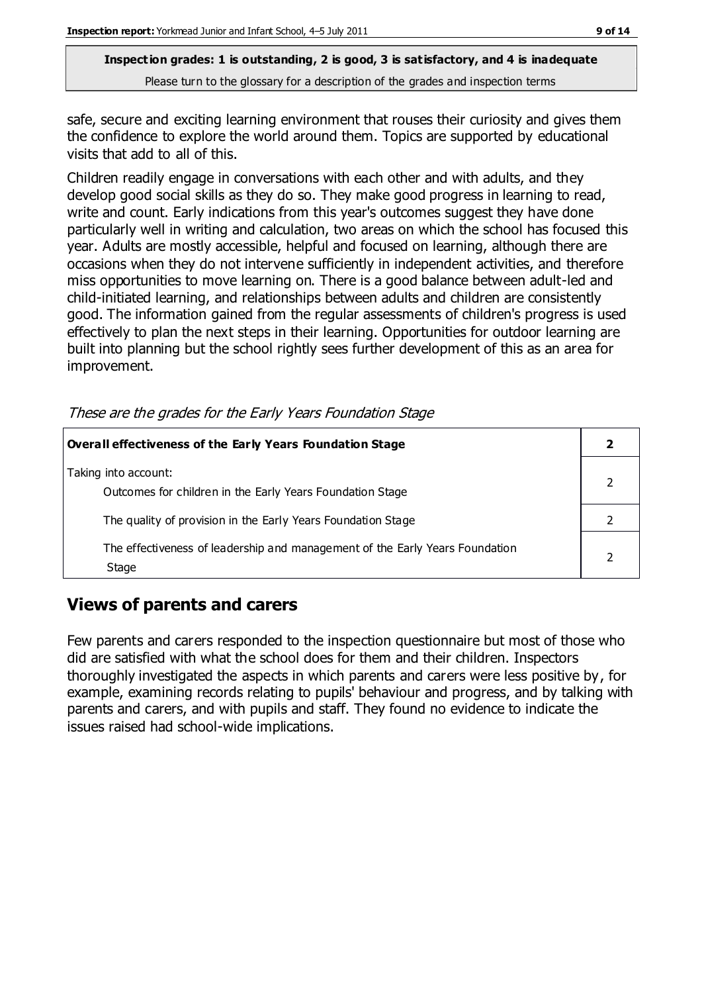safe, secure and exciting learning environment that rouses their curiosity and gives them the confidence to explore the world around them. Topics are supported by educational visits that add to all of this.

Children readily engage in conversations with each other and with adults, and they develop good social skills as they do so. They make good progress in learning to read, write and count. Early indications from this year's outcomes suggest they have done particularly well in writing and calculation, two areas on which the school has focused this year. Adults are mostly accessible, helpful and focused on learning, although there are occasions when they do not intervene sufficiently in independent activities, and therefore miss opportunities to move learning on. There is a good balance between adult-led and child-initiated learning, and relationships between adults and children are consistently good. The information gained from the regular assessments of children's progress is used effectively to plan the next steps in their learning. Opportunities for outdoor learning are built into planning but the school rightly sees further development of this as an area for improvement.

These are the grades for the Early Years Foundation Stage

| Overall effectiveness of the Early Years Foundation Stage                             |  |
|---------------------------------------------------------------------------------------|--|
| Taking into account:<br>Outcomes for children in the Early Years Foundation Stage     |  |
| The quality of provision in the Early Years Foundation Stage                          |  |
| The effectiveness of leadership and management of the Early Years Foundation<br>Stage |  |

## **Views of parents and carers**

Few parents and carers responded to the inspection questionnaire but most of those who did are satisfied with what the school does for them and their children. Inspectors thoroughly investigated the aspects in which parents and carers were less positive by, for example, examining records relating to pupils' behaviour and progress, and by talking with parents and carers, and with pupils and staff. They found no evidence to indicate the issues raised had school-wide implications.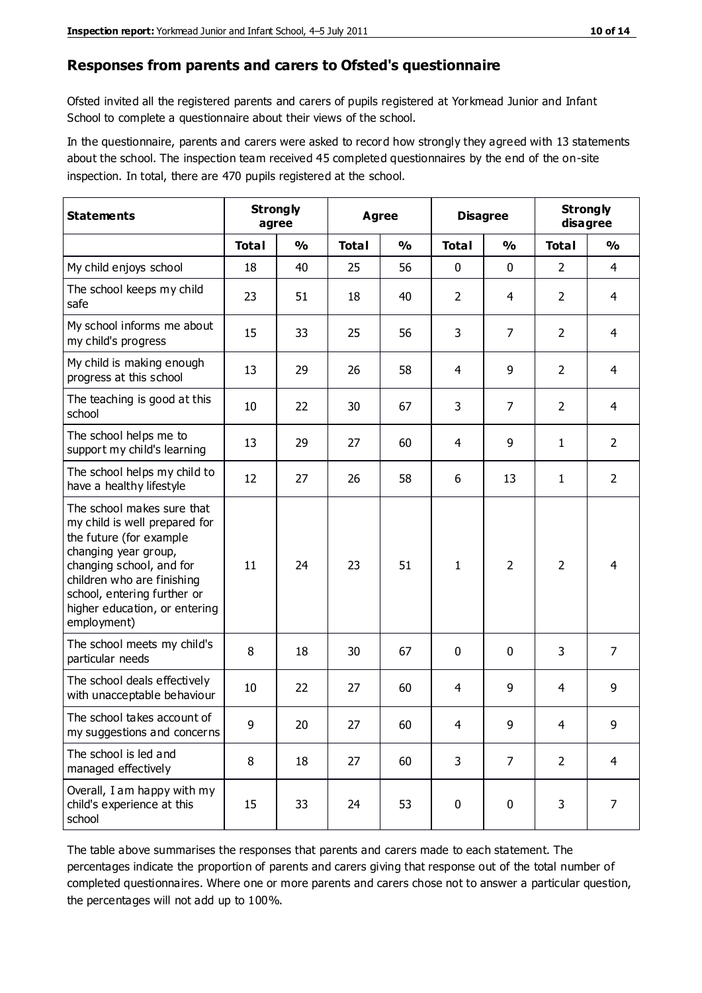#### **Responses from parents and carers to Ofsted's questionnaire**

Ofsted invited all the registered parents and carers of pupils registered at Yorkmead Junior and Infant School to complete a questionnaire about their views of the school.

In the questionnaire, parents and carers were asked to record how strongly they agreed with 13 statements about the school. The inspection team received 45 completed questionnaires by the end of the on-site inspection. In total, there are 470 pupils registered at the school.

| <b>Statements</b>                                                                                                                                                                                                                                       |              | <b>Strongly</b><br><b>Disagree</b><br><b>Agree</b><br>agree |              |               |                |                | <b>Strongly</b><br>disagree |                |
|---------------------------------------------------------------------------------------------------------------------------------------------------------------------------------------------------------------------------------------------------------|--------------|-------------------------------------------------------------|--------------|---------------|----------------|----------------|-----------------------------|----------------|
|                                                                                                                                                                                                                                                         | <b>Total</b> | $\frac{1}{2}$                                               | <b>Total</b> | $\frac{1}{2}$ | <b>Total</b>   | $\frac{1}{2}$  | <b>Total</b>                | $\frac{1}{2}$  |
| My child enjoys school                                                                                                                                                                                                                                  | 18           | 40                                                          | 25           | 56            | 0              | 0              | $\overline{2}$              | 4              |
| The school keeps my child<br>safe                                                                                                                                                                                                                       | 23           | 51                                                          | 18           | 40            | $\overline{2}$ | 4              | $\overline{2}$              | $\overline{4}$ |
| My school informs me about<br>my child's progress                                                                                                                                                                                                       | 15           | 33                                                          | 25           | 56            | 3              | $\overline{7}$ | $\overline{2}$              | $\overline{4}$ |
| My child is making enough<br>progress at this school                                                                                                                                                                                                    | 13           | 29                                                          | 26           | 58            | 4              | 9              | $\overline{2}$              | $\overline{4}$ |
| The teaching is good at this<br>school                                                                                                                                                                                                                  | 10           | 22                                                          | 30           | 67            | 3              | $\overline{7}$ | $\overline{2}$              | 4              |
| The school helps me to<br>support my child's learning                                                                                                                                                                                                   | 13           | 29                                                          | 27           | 60            | 4              | 9              | 1                           | $\overline{2}$ |
| The school helps my child to<br>have a healthy lifestyle                                                                                                                                                                                                | 12           | 27                                                          | 26           | 58            | 6              | 13             | 1                           | $\overline{2}$ |
| The school makes sure that<br>my child is well prepared for<br>the future (for example<br>changing year group,<br>changing school, and for<br>children who are finishing<br>school, entering further or<br>higher education, or entering<br>employment) | 11           | 24                                                          | 23           | 51            | $\mathbf{1}$   | $\overline{2}$ | $\overline{2}$              | 4              |
| The school meets my child's<br>particular needs                                                                                                                                                                                                         | 8            | 18                                                          | 30           | 67            | 0              | $\mathbf{0}$   | 3                           | $\overline{7}$ |
| The school deals effectively<br>with unacceptable behaviour                                                                                                                                                                                             | 10           | 22                                                          | 27           | 60            | 4              | 9              | 4                           | 9              |
| The school takes account of<br>my suggestions and concerns                                                                                                                                                                                              | 9            | 20                                                          | 27           | 60            | 4              | 9              | 4                           | 9              |
| The school is led and<br>managed effectively                                                                                                                                                                                                            | 8            | 18                                                          | 27           | 60            | 3              | 7              | $\overline{2}$              | $\overline{4}$ |
| Overall, I am happy with my<br>child's experience at this<br>school                                                                                                                                                                                     | 15           | 33                                                          | 24           | 53            | $\pmb{0}$      | $\mathbf 0$    | 3                           | $\overline{7}$ |

The table above summarises the responses that parents and carers made to each statement. The percentages indicate the proportion of parents and carers giving that response out of the total number of completed questionnaires. Where one or more parents and carers chose not to answer a particular question, the percentages will not add up to 100%.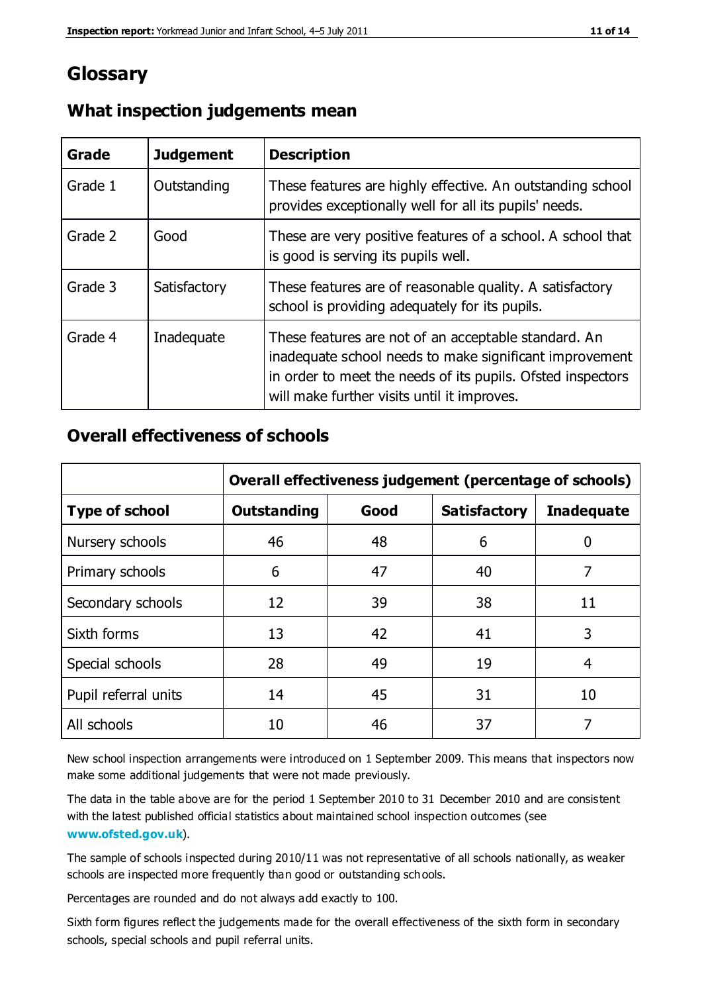## **Glossary**

| Grade   | <b>Judgement</b> | <b>Description</b>                                                                                                                                                                                                            |
|---------|------------------|-------------------------------------------------------------------------------------------------------------------------------------------------------------------------------------------------------------------------------|
| Grade 1 | Outstanding      | These features are highly effective. An outstanding school<br>provides exceptionally well for all its pupils' needs.                                                                                                          |
| Grade 2 | Good             | These are very positive features of a school. A school that<br>is good is serving its pupils well.                                                                                                                            |
| Grade 3 | Satisfactory     | These features are of reasonable quality. A satisfactory<br>school is providing adequately for its pupils.                                                                                                                    |
| Grade 4 | Inadequate       | These features are not of an acceptable standard. An<br>inadequate school needs to make significant improvement<br>in order to meet the needs of its pupils. Ofsted inspectors<br>will make further visits until it improves. |

## **What inspection judgements mean**

## **Overall effectiveness of schools**

|                       | Overall effectiveness judgement (percentage of schools) |      |                     |                   |
|-----------------------|---------------------------------------------------------|------|---------------------|-------------------|
| <b>Type of school</b> | <b>Outstanding</b>                                      | Good | <b>Satisfactory</b> | <b>Inadequate</b> |
| Nursery schools       | 46                                                      | 48   | 6                   |                   |
| Primary schools       | 6                                                       | 47   | 40                  | 7                 |
| Secondary schools     | 12                                                      | 39   | 38                  | 11                |
| Sixth forms           | 13                                                      | 42   | 41                  | 3                 |
| Special schools       | 28                                                      | 49   | 19                  | 4                 |
| Pupil referral units  | 14                                                      | 45   | 31                  | 10                |
| All schools           | 10                                                      | 46   | 37                  |                   |

New school inspection arrangements were introduced on 1 September 2009. This means that inspectors now make some additional judgements that were not made previously.

The data in the table above are for the period 1 September 2010 to 31 December 2010 and are consistent with the latest published official statistics about maintained school inspection outcomes (see **[www.ofsted.gov.uk](http://www.ofsted.gov.uk/)**).

The sample of schools inspected during 2010/11 was not representative of all schools nationally, as weaker schools are inspected more frequently than good or outstanding schools.

Percentages are rounded and do not always add exactly to 100.

Sixth form figures reflect the judgements made for the overall effectiveness of the sixth form in secondary schools, special schools and pupil referral units.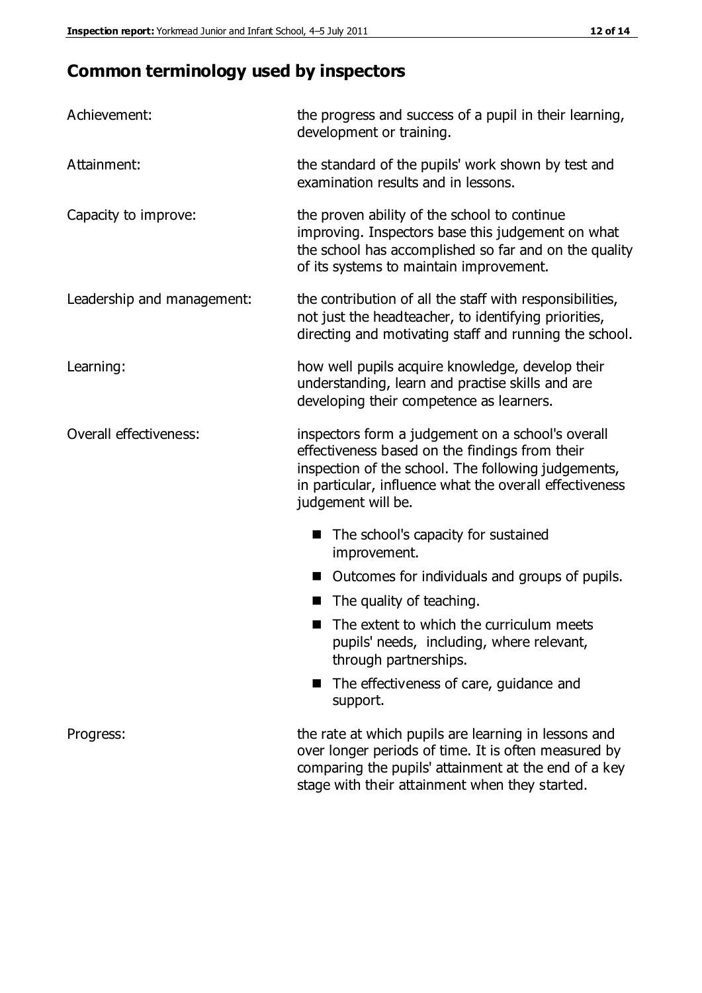## **Common terminology used by inspectors**

| Achievement:                  | the progress and success of a pupil in their learning,<br>development or training.                                                                                                                                                          |  |  |
|-------------------------------|---------------------------------------------------------------------------------------------------------------------------------------------------------------------------------------------------------------------------------------------|--|--|
| Attainment:                   | the standard of the pupils' work shown by test and<br>examination results and in lessons.                                                                                                                                                   |  |  |
| Capacity to improve:          | the proven ability of the school to continue<br>improving. Inspectors base this judgement on what<br>the school has accomplished so far and on the quality<br>of its systems to maintain improvement.                                       |  |  |
| Leadership and management:    | the contribution of all the staff with responsibilities,<br>not just the headteacher, to identifying priorities,<br>directing and motivating staff and running the school.                                                                  |  |  |
| Learning:                     | how well pupils acquire knowledge, develop their<br>understanding, learn and practise skills and are<br>developing their competence as learners.                                                                                            |  |  |
| <b>Overall effectiveness:</b> | inspectors form a judgement on a school's overall<br>effectiveness based on the findings from their<br>inspection of the school. The following judgements,<br>in particular, influence what the overall effectiveness<br>judgement will be. |  |  |
|                               | The school's capacity for sustained<br>improvement.                                                                                                                                                                                         |  |  |
|                               | Outcomes for individuals and groups of pupils.                                                                                                                                                                                              |  |  |
|                               | The quality of teaching.                                                                                                                                                                                                                    |  |  |
|                               | The extent to which the curriculum meets<br>pupils' needs, including, where relevant,<br>through partnerships.                                                                                                                              |  |  |
|                               | The effectiveness of care, guidance and<br>support.                                                                                                                                                                                         |  |  |
| Progress:                     | the rate at which pupils are learning in lessons and<br>over longer periods of time. It is often measured by<br>comparing the pupils' attainment at the end of a key                                                                        |  |  |

stage with their attainment when they started.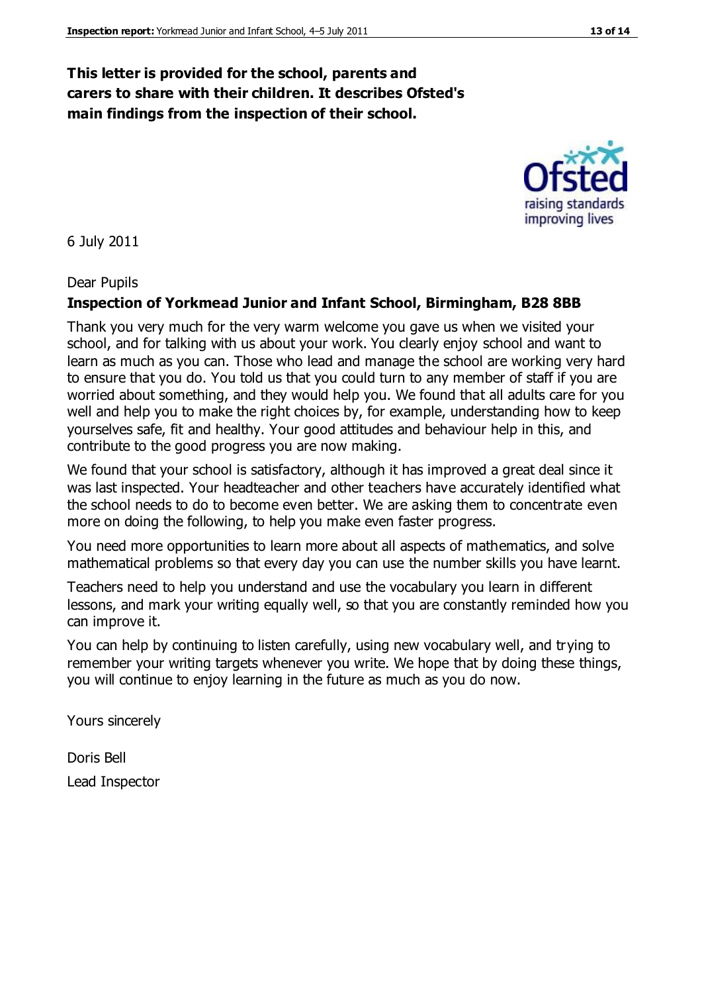## **This letter is provided for the school, parents and carers to share with their children. It describes Ofsted's main findings from the inspection of their school.**

6 July 2011

#### Dear Pupils

#### **Inspection of Yorkmead Junior and Infant School, Birmingham, B28 8BB**

Thank you very much for the very warm welcome you gave us when we visited your school, and for talking with us about your work. You clearly enjoy school and want to learn as much as you can. Those who lead and manage the school are working very hard to ensure that you do. You told us that you could turn to any member of staff if you are worried about something, and they would help you. We found that all adults care for you well and help you to make the right choices by, for example, understanding how to keep yourselves safe, fit and healthy. Your good attitudes and behaviour help in this, and contribute to the good progress you are now making.

We found that your school is satisfactory, although it has improved a great deal since it was last inspected. Your headteacher and other teachers have accurately identified what the school needs to do to become even better. We are asking them to concentrate even more on doing the following, to help you make even faster progress.

You need more opportunities to learn more about all aspects of mathematics, and solve mathematical problems so that every day you can use the number skills you have learnt.

Teachers need to help you understand and use the vocabulary you learn in different lessons, and mark your writing equally well, so that you are constantly reminded how you can improve it.

You can help by continuing to listen carefully, using new vocabulary well, and trying to remember your writing targets whenever you write. We hope that by doing these things, you will continue to enjoy learning in the future as much as you do now.

Yours sincerely

Doris Bell Lead Inspector